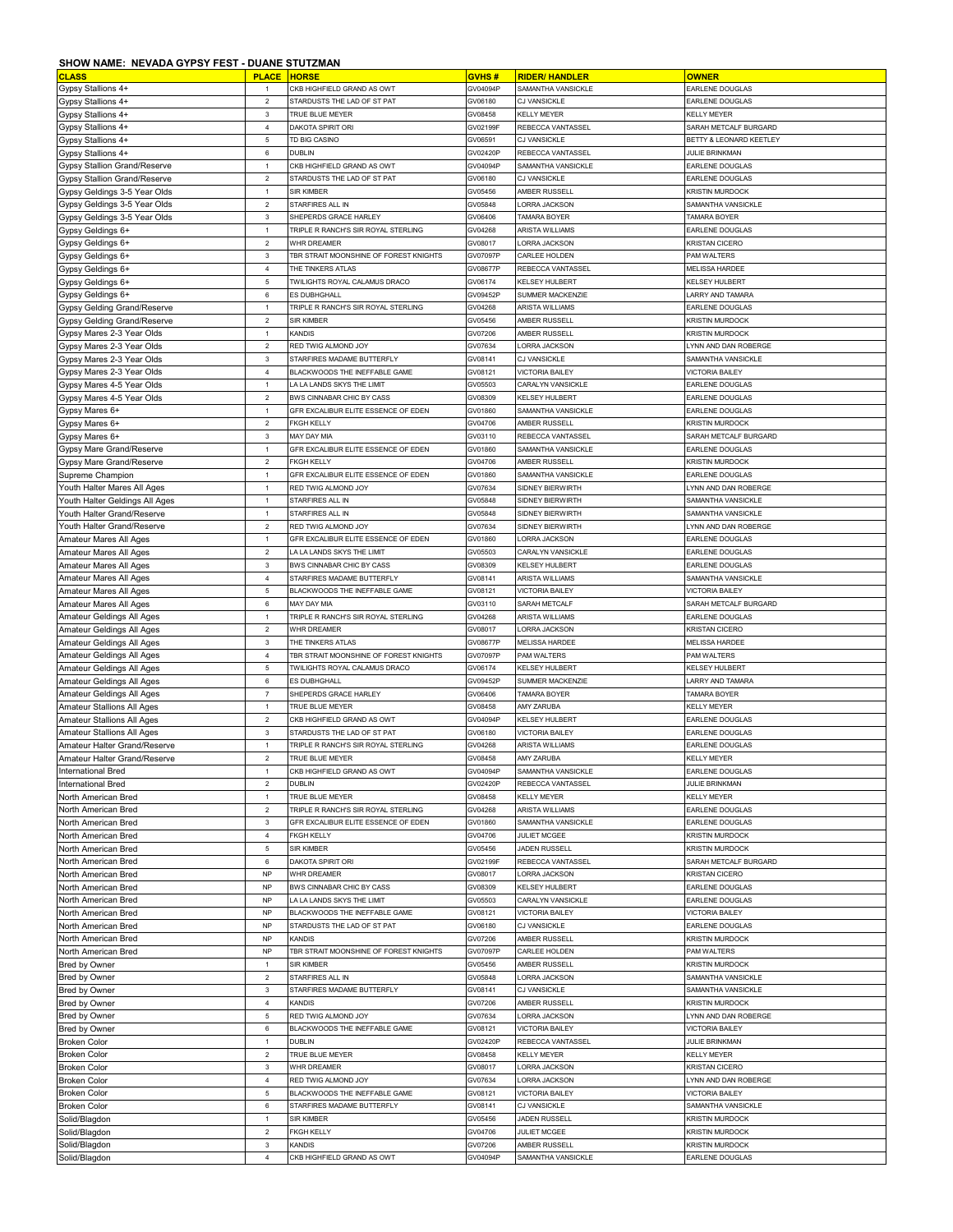## **SHOW NAME: NEVADA GYPSY FEST - DUANE STUTZMAN**

| <b>CLASS</b>                                                   | ,,,,,,<br><b>PLACE</b>         | <b>HORSE</b>                                                | GVHS#               | <b>RIDER/ HANDLER</b>                         | <b>OWNER</b>                                 |
|----------------------------------------------------------------|--------------------------------|-------------------------------------------------------------|---------------------|-----------------------------------------------|----------------------------------------------|
| Gypsy Stallions 4+                                             | $\mathbf{1}$                   | CKB HIGHFIELD GRAND AS OWT                                  | GV04094P            | SAMANTHA VANSICKLE                            | EARLENE DOUGLAS                              |
| Gypsy Stallions 4+                                             | $\sqrt{2}$                     | STARDUSTS THE LAD OF ST PAT                                 | GV06180             | CJ VANSICKLE                                  | EARLENE DOUGLAS                              |
| Gypsy Stallions 4+                                             | $\mathbf{3}$                   | TRUE BLUE MEYER                                             | GV08458             | <b>KELLY MEYER</b>                            | <b>KELLY MEYER</b>                           |
| Gypsy Stallions 4+                                             | $\overline{4}$                 | DAKOTA SPIRIT ORI                                           | GV02199F            | REBECCA VANTASSEL                             | SARAH METCALF BURGARD                        |
| Gypsy Stallions 4+                                             | $\mathbf 5$                    | TD BIG CASINO                                               | GV06591             | CJ VANSICKLE                                  | BETTY & LEONARD KEETLEY                      |
| Gypsy Stallions 4+                                             | $\,6\,$                        | <b>DUBLIN</b>                                               | GV02420F            | REBECCA VANTASSEL                             | <b>JULIE BRINKMAN</b>                        |
| Gypsy Stallion Grand/Reserve                                   | $\mathbf{1}$                   | CKB HIGHFIELD GRAND AS OWT                                  | GV04094F            | SAMANTHA VANSICKLE                            | EARLENE DOUGLAS                              |
| <b>Gypsy Stallion Grand/Reserve</b>                            | $\sqrt{2}$                     | STARDUSTS THE LAD OF ST PAT                                 | GV06180             | <b>CJ VANSICKLE</b>                           | EARLENE DOUGLAS                              |
| Gypsy Geldings 3-5 Year Olds                                   | $\mathbf{1}$                   | SIR KIMBER                                                  | GV05456             | AMBER RUSSELL                                 | <b>KRISTIN MURDOCK</b>                       |
| Gypsy Geldings 3-5 Year Olds                                   | $\sqrt{2}$                     | STARFIRES ALL IN                                            | GV05848             | ORRA JACKSON                                  | SAMANTHA VANSICKLE                           |
| Gypsy Geldings 3-5 Year Olds                                   | $\mathbf{3}$                   | SHEPERDS GRACE HARLEY                                       | GV06406             | TAMARA BOYER                                  | TAMARA BOYER                                 |
| Gypsy Geldings 6+                                              | $\mathbf{1}$<br>$\overline{2}$ | TRIPLE R RANCH'S SIR ROYAL STERLING                         | GV04268<br>GV08017  | ARISTA WILLIAMS<br>LORRA JACKSON              | EARLENE DOUGLAS<br><b>KRISTAN CICERO</b>     |
| Gypsy Geldings 6+<br>Gypsy Geldings 6+                         | $\mathbf 3$                    | WHR DREAMER<br>TBR STRAIT MOONSHINE OF FOREST KNIGHTS       | GV07097F            | CARLEE HOLDEN                                 | PAM WALTERS                                  |
| Gypsy Geldings 6+                                              | $\overline{4}$                 | THE TINKERS ATLAS                                           | GV08677F            | REBECCA VANTASSEL                             | <b>MELISSA HARDEE</b>                        |
| Gypsy Geldings 6+                                              | $\mathbf 5$                    | TWILIGHTS ROYAL CALAMUS DRACO                               | GV06174             | <b>KELSEY HULBERT</b>                         | KELSEY HULBERT                               |
| Gypsy Geldings 6+                                              | $\,6\,$                        | ES DUBHGHALL                                                | GV09452F            | SUMMER MACKENZIE                              | LARRY AND TAMARA                             |
| Gypsy Gelding Grand/Reserve                                    | $\mathbf{1}$                   | TRIPLE R RANCH'S SIR ROYAL STERLING                         | GV04268             | <b>ARISTA WILLIAMS</b>                        | EARLENE DOUGLAS                              |
| Gypsy Gelding Grand/Reserve                                    | $\sqrt{2}$                     | SIR KIMBER                                                  | GV05456             | AMBER RUSSELL                                 | <b>KRISTIN MURDOCK</b>                       |
| Gypsy Mares 2-3 Year Olds                                      | $\mathbf{1}$                   | KANDIS                                                      | GV07206             | AMBER RUSSELL                                 | <b>KRISTIN MURDOCK</b>                       |
| Gypsy Mares 2-3 Year Olds                                      | $\overline{2}$                 | RED TWIG ALMOND JOY                                         | GV07634             | LORRA JACKSON                                 | LYNN AND DAN ROBERGE                         |
| Gypsy Mares 2-3 Year Olds                                      | $\mathbf 3$                    | STARFIRES MADAME BUTTERFLY                                  | GV08141             | CJ VANSICKLE                                  | SAMANTHA VANSICKLE                           |
| Gypsy Mares 2-3 Year Olds                                      | $\bf{4}$                       | BLACKWOODS THE INEFFABLE GAME                               | GV08121             | VICTORIA BAILEY                               | <b>VICTORIA BAILEY</b>                       |
| Gypsy Mares 4-5 Year Olds                                      | $\mathbf{1}$                   | LA LA LANDS SKYS THE LIMIT                                  | GV05503             | CARALYN VANSICKLE                             | EARLENE DOUGLAS                              |
| Gypsy Mares 4-5 Year Olds                                      | $\overline{2}$                 | BWS CINNABAR CHIC BY CASS                                   | GV08309             | <b>KELSEY HULBERT</b>                         | EARLENE DOUGLAS                              |
| Gypsy Mares 6+                                                 | $\mathbf{1}$                   | GFR EXCALIBUR ELITE ESSENCE OF EDEN                         | GV01860             | SAMANTHA VANSICKLE                            | EARLENE DOUGLAS                              |
| Gypsy Mares 6+                                                 | $\sqrt{2}$                     | <b>FKGH KELLY</b>                                           | GV04706             | AMBER RUSSELI                                 | <b>KRISTIN MURDOCK</b>                       |
| Gypsy Mares 6+                                                 | $\ensuremath{\mathsf{3}}$      | MAY DAY MIA                                                 | GV03110             | REBECCA VANTASSEL                             | SARAH METCALF BURGARD                        |
| Gypsy Mare Grand/Reserve                                       | $\mathbf{1}$<br>$\overline{2}$ | GFR EXCALIBUR ELITE ESSENCE OF EDEN<br><b>FKGH KELLY</b>    | GV01860             | SAMANTHA VANSICKLE<br>AMBER RUSSELL           | EARLENE DOUGLAS<br><b>KRISTIN MURDOCK</b>    |
| Gypsy Mare Grand/Reserve<br>Supreme Champion                   | $\mathbf{1}$                   | GFR EXCALIBUR ELITE ESSENCE OF EDEN                         | GV04706<br>GV01860  | SAMANTHA VANSICKLE                            | EARLENE DOUGLAS                              |
| Youth Halter Mares All Ages                                    | $\mathbf{1}$                   | RED TWIG ALMOND JOY                                         | GV07634             | <b>SIDNEY BIERWIRTH</b>                       | LYNN AND DAN ROBERGE                         |
| Youth Halter Geldings All Ages                                 | $\mathbf{1}$                   | STARFIRES ALL IN                                            | GV05848             | SIDNEY BIERWIRTH                              | SAMANTHA VANSICKLE                           |
| Youth Halter Grand/Reserve                                     | $\mathbf{1}$                   | STARFIRES ALL IN                                            | GV05848             | <b>SIDNEY BIERWIRTH</b>                       | SAMANTHA VANSICKI F                          |
| Youth Halter Grand/Reserve                                     | $\sqrt{2}$                     | RED TWIG ALMOND JOY                                         | GV07634             | SIDNEY BIERWIRTH                              | LYNN AND DAN ROBERGE                         |
| Amateur Mares All Ages                                         | $\mathbf{1}$                   | GFR EXCALIBUR ELITE ESSENCE OF EDEN                         | GV01860             | <b>LORRA JACKSON</b>                          | EARLENE DOUGLAS                              |
| Amateur Mares All Ages                                         | $\mathbf 2$                    | LA LA LANDS SKYS THE LIMIT                                  | GV05503             | CARALYN VANSICKLE                             | EARLENE DOUGLAS                              |
| Amateur Mares All Ages                                         | $\mathbf{3}$                   | BWS CINNABAR CHIC BY CASS                                   | GV08309             | <b>KELSEY HULBERT</b>                         | EARLENE DOUGLAS                              |
| Amateur Mares All Ages                                         | $\overline{4}$                 | STARFIRES MADAME BUTTERFLY                                  | GV08141             | ARISTA WILLIAMS                               | SAMANTHA VANSICKLE                           |
| Amateur Mares All Ages                                         | $\mathbf 5$                    | BLACKWOODS THE INEFFABLE GAME                               | GV08121             | <b>VICTORIA BAILEY</b>                        | <b>VICTORIA BAILEY</b>                       |
| Amateur Mares All Ages                                         | $\,6\,$                        | MAY DAY MIA                                                 | GV03110             | SARAH METCALF                                 | SARAH METCALF BURGARD                        |
| Amateur Geldings All Ages                                      | $\mathbf{1}$                   | TRIPLE R RANCH'S SIR ROYAL STERLING                         | GV04268             | ARISTA WILLIAMS                               | EARLENE DOUGLAS                              |
| Amateur Geldings All Ages                                      | $\mathbf 2$                    | WHR DREAMER                                                 | GV08017             | ORRA JACKSON                                  | KRISTAN CICERO                               |
| Amateur Geldings All Ages                                      | $\ensuremath{\mathsf{3}}$      | THE TINKERS ATLAS                                           | GV08677F            | <b>MELISSA HARDEE</b>                         | <b>MELISSA HARDEE</b>                        |
| Amateur Geldings All Ages                                      | $\overline{4}$                 | TBR STRAIT MOONSHINE OF FOREST KNIGHTS                      | GV07097P            | PAM WALTERS                                   | PAM WALTERS                                  |
| Amateur Geldings All Ages                                      | $\mathbf 5$                    | TWILIGHTS ROYAL CALAMUS DRACO                               | GV06174             | KELSEY HULBERT                                | <b>KELSEY HULBERT</b>                        |
| Amateur Geldings All Ages                                      | 6<br>$\scriptstyle{7}$         | ES DUBHGHALL<br>SHEPERDS GRACE HARLEY                       | GV09452P<br>GV06406 | SUMMER MACKENZIE<br>TAMARA BOYER              | LARRY AND TAMARA<br><b>TAMARA BOYER</b>      |
| Amateur Geldings All Ages<br><b>Amateur Stallions All Ages</b> | $\mathbf{1}$                   | TRUE BLUE MEYER                                             | GV08458             | AMY ZARUBA                                    | <b>KELLY MEYER</b>                           |
| Amateur Stallions All Ages                                     | $\sqrt{2}$                     | CKB HIGHFIELD GRAND AS OWT                                  | GV04094F            | <b>KELSEY HULBERT</b>                         | EARLENE DOUGLAS                              |
| <b>Amateur Stallions All Ages</b>                              | $\mathbf{3}$                   | STARDUSTS THE LAD OF ST PAT                                 | GV06180             | <b>VICTORIA BAILEY</b>                        | EARLENE DOUGLAS                              |
| Amateur Halter Grand/Reserve                                   | $\mathbf{1}$                   | TRIPLE R RANCH'S SIR ROYAL STERLING                         | GV04268             | ARISTA WILLIAMS                               | EARLENE DOUGLAS                              |
| Amateur Halter Grand/Reserve                                   | $\overline{2}$                 | TRUE BLUE MEYER                                             | GV08458             | AMY ZARUBA                                    | <b>KELLY MEYER</b>                           |
| International Bred                                             | $\mathbf{1}$                   | CKB HIGHFIELD GRAND AS OWT                                  | GV04094P            | SAMANTHA VANSICKLE                            | EARLENE DOUGLAS                              |
| International Bred                                             | $\overline{2}$                 | DUBLIN                                                      | GV02420P            | REBECCA VANTASSEL                             | <b>JULIE BRINKMAN</b>                        |
| North American Bred                                            | $\overline{1}$                 | TRUE BLUE MEYER                                             | GV08458             | <b>KELLY MEYER</b>                            | <b>KELLY MEYER</b>                           |
| North American Bred                                            | $\overline{2}$                 | TRIPLE R RANCH'S SIR ROYAL STERLING                         | GV04268             | <b>ARISTA WILLIAMS</b>                        | EARLENE DOUGLAS                              |
| North American Bred                                            | 3                              | GFR EXCALIBUR ELITE ESSENCE OF EDEN                         | GV01860             | SAMANTHA VANSICKLE                            | EARLENE DOUGLAS                              |
| North American Bred                                            | $\overline{4}$                 | <b>FKGH KELLY</b>                                           | GV04706             | JULIET MCGEE                                  | KRISTIN MURDOCK                              |
| North American Bred                                            | 5                              | SIR KIMBER                                                  | GV05456             | <b>JADEN RUSSELL</b>                          | <b>KRISTIN MURDOCK</b>                       |
| North American Bred                                            | 6                              | DAKOTA SPIRIT ORI                                           | GV02199F            | REBECCA VANTASSEL                             | SARAH METCALF BURGARD                        |
| North American Bred                                            | <b>NP</b><br><b>NP</b>         | WHR DREAMER<br>BWS CINNABAR CHIC BY CASS                    | GV08017             | <b>LORRA JACKSON</b><br><b>KELSEY HULBERT</b> | <b>KRISTAN CICERO</b><br>EARLENE DOUGLAS     |
| North American Bred<br>North American Bred                     | <b>NP</b>                      | A LA LANDS SKYS THE LIMIT                                   | GV08309<br>GV05503  | CARALYN VANSICKLE                             | EARLENE DOUGLAS                              |
| North American Bred                                            | <b>NP</b>                      | BLACKWOODS THE INEFFABLE GAME                               | GV08121             | <b>VICTORIA BAILEY</b>                        | <b>VICTORIA BAILEY</b>                       |
| North American Bred                                            | <b>NP</b>                      | STARDUSTS THE LAD OF ST PAT                                 | GV06180             | CJ VANSICKLE                                  | EARLENE DOUGLAS                              |
| North American Bred                                            | <b>NP</b>                      | <b>KANDIS</b>                                               | GV07206             | AMBER RUSSELL                                 | <b>KRISTIN MURDOCK</b>                       |
| North American Bred                                            | <b>NP</b>                      | TBR STRAIT MOONSHINE OF FOREST KNIGHTS                      | GV07097P            | CARLEE HOLDEN                                 | PAM WALTERS                                  |
| Bred by Owner                                                  | $\overline{1}$                 | SIR KIMBER                                                  | GV05456             | AMBER RUSSELL                                 | <b>KRISTIN MURDOCK</b>                       |
| Bred by Owner                                                  | $\overline{2}$                 | STARFIRES ALL IN                                            | GV05848             | <b>LORRA JACKSON</b>                          | SAMANTHA VANSICKLE                           |
| <b>Bred by Owner</b>                                           | 3                              | STARFIRES MADAME BUTTERFLY                                  | GV08141             | CJ VANSICKLE                                  | SAMANTHA VANSICKLE                           |
| Bred by Owner                                                  | $\overline{4}$                 | KANDIS                                                      | GV07206             | AMBER RUSSELL                                 | <b>KRISTIN MURDOCK</b>                       |
| <b>Bred by Owner</b>                                           | $\mathbf 5$                    | RED TWIG ALMOND JOY                                         | GV07634             | ORRA JACKSON                                  | LYNN AND DAN ROBERGE                         |
| Bred by Owner                                                  | $\,6\,$                        | BLACKWOODS THE INEFFABLE GAME                               | GV08121             | <b>VICTORIA BAILEY</b>                        | <b>VICTORIA BAILEY</b>                       |
| <b>Broken Color</b>                                            | $\mathbf{1}$                   | <b>DUBLIN</b>                                               | GV02420P            | REBECCA VANTASSEL                             | JULIE BRINKMAN                               |
| <b>Broken Color</b>                                            | $\overline{2}$                 | <b>TRUE BLUE MEYER</b>                                      | GV08458             | <b>KELLY MEYER</b>                            | <b>KELLY MEYER</b>                           |
| <b>Broken Color</b>                                            | $\mathbf 3$                    | WHR DREAMER                                                 | GV08017             | LORRA JACKSON                                 | KRISTAN CICERO                               |
| <b>Broken Color</b>                                            | $\overline{4}$                 | RED TWIG ALMOND JOY                                         | GV07634             | LORRA JACKSON                                 | LYNN AND DAN ROBERGE                         |
| <b>Broken Color</b>                                            | 5                              | BLACKWOODS THE INEFFABLE GAME<br>STARFIRES MADAME BUTTERFLY | GV08121             | <b>VICTORIA BAILEY</b><br>CJ VANSICKLE        | <b>VICTORIA BAILEY</b><br>SAMANTHA VANSICKLE |
| <b>Broken Color</b><br>Solid/Blagdon                           | 6<br>$\mathbf{1}$              | SIR KIMBER                                                  | GV08141<br>GV05456  | <b>JADEN RUSSELL</b>                          | <b>KRISTIN MURDOCK</b>                       |
| Solid/Blagdon                                                  | $\sqrt{2}$                     | <b>FKGH KELLY</b>                                           | GV04706             | JULIET MCGEE                                  | <b>KRISTIN MURDOCK</b>                       |
| Solid/Blagdon                                                  | $\ensuremath{\mathsf{3}}$      | KANDIS                                                      | GV07206             | AMBER RUSSELL                                 | <b>KRISTIN MURDOCK</b>                       |
| Solid/Blagdon                                                  | $\overline{4}$                 | CKB HIGHFIELD GRAND AS OWT                                  | GV04094P            | SAMANTHA VANSICKLE                            | EARLENE DOUGLAS                              |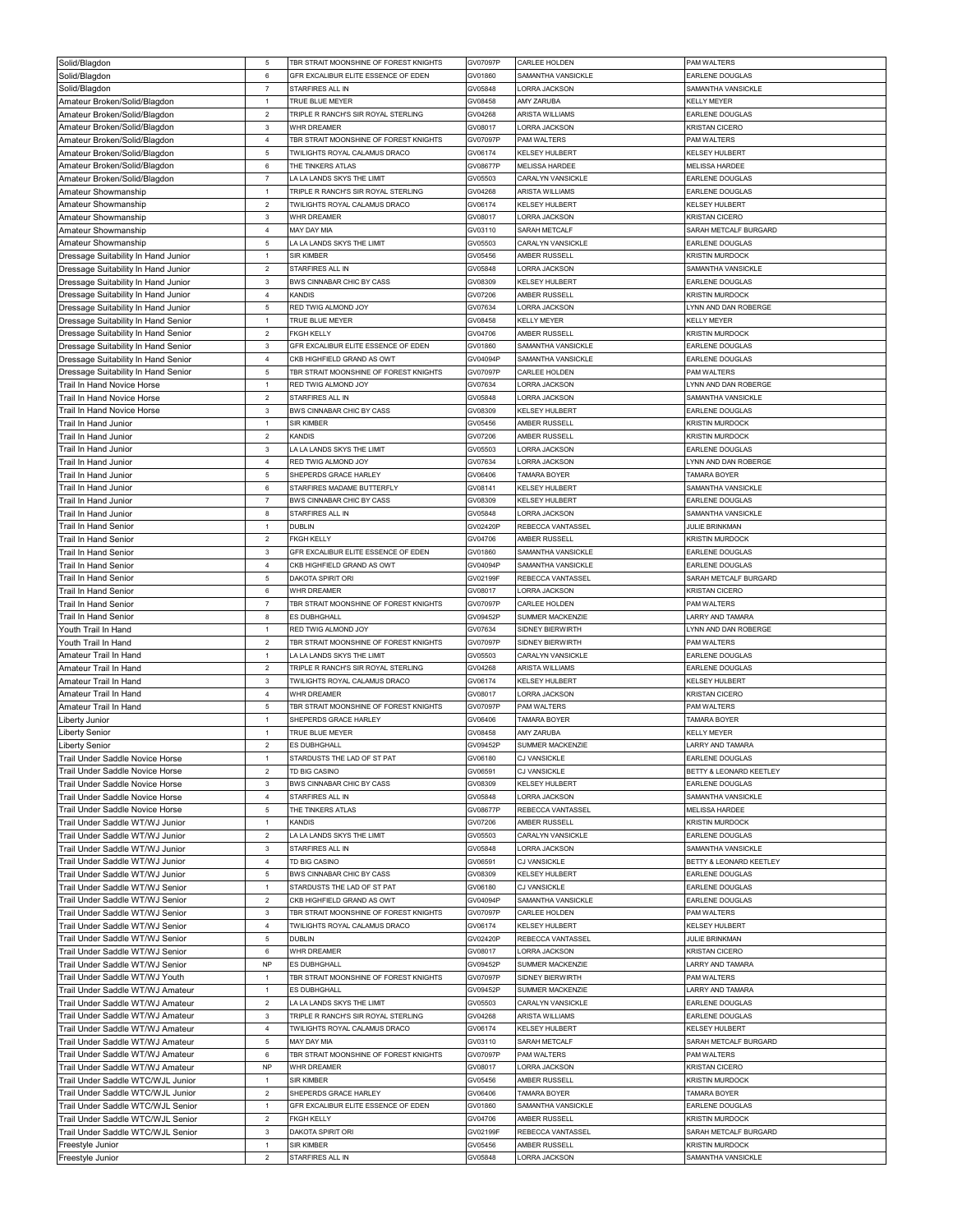| Solid/Blagdon                                | 5                              | TBR STRAIT MOONSHINE OF FOREST KNIGHTS         | GV07097P           | CARLEE HOLDEN                        | PAM WALTERS                                      |
|----------------------------------------------|--------------------------------|------------------------------------------------|--------------------|--------------------------------------|--------------------------------------------------|
| Solid/Blagdon                                | 6                              | GFR EXCALIBUR ELITE ESSENCE OF EDEN            | GV01860            | SAMANTHA VANSICKLE                   | <b>EARLENE DOUGLAS</b>                           |
| Solid/Blagdon                                | $\overline{7}$                 | STARFIRES ALL IN                               | GV05848            | ORRA JACKSON                         | SAMANTHA VANSICKLE                               |
| Amateur Broken/Solid/Blagdon                 | $\mathbf{1}$                   | TRUE BLUE MEYER                                | GV08458            | AMY ZARUBA                           | KELLY MEYER                                      |
| Amateur Broken/Solid/Blagdon                 | $\overline{2}$                 | TRIPLE R RANCH'S SIR ROYAL STERLING            | GV04268            | ARISTA WILLIAMS                      | EARLENE DOUGLAS                                  |
| Amateur Broken/Solid/Blagdon                 | $\mathbf{3}$                   | WHR DREAMER                                    | GV08017            | LORRA JACKSON                        | KRISTAN CICERO                                   |
| Amateur Broken/Solid/Blagdon                 | $\overline{4}$                 | TBR STRAIT MOONSHINE OF FOREST KNIGHTS         | GV07097P           | PAM WALTERS                          | PAM WALTERS                                      |
| Amateur Broken/Solid/Blagdon                 | 5                              | TWILIGHTS ROYAL CALAMUS DRACO                  | GV06174            | KELSEY HULBERT                       | KELSEY HULBERT                                   |
| Amateur Broken/Solid/Blagdon                 | 6                              | THE TINKERS ATLAS                              | GV08677P           | MELISSA HARDEE                       | <b>MELISSA HARDEE</b>                            |
| Amateur Broken/Solid/Blagdon                 | $\overline{7}$                 | LA LA LANDS SKYS THE LIMIT                     | GV05503            | CARALYN VANSICKLE                    | EARLENE DOUGLAS                                  |
| Amateur Showmanship                          | $\mathbf{1}$                   | TRIPLE R RANCH'S SIR ROYAL STERLING            | GV04268            | ARISTA WILLIAMS                      | EARLENE DOUGLAS                                  |
| Amateur Showmanship                          | $\mathbf 2$                    | TWILIGHTS ROYAL CALAMUS DRACO                  | GV06174            | KELSEY HULBERT                       | KELSEY HULBERT                                   |
| Amateur Showmanship                          | $\mathbf{3}$                   | <b>WHR DREAMER</b>                             | GV08017            | <b>LORRA JACKSON</b>                 | <b>KRISTAN CICERO</b>                            |
| Amateur Showmanship                          | $\overline{4}$                 | MAY DAY MIA                                    | GV03110            | SARAH METCALF                        | SARAH METCALF BURGARD                            |
| Amateur Showmanship                          | $\,$ 5 $\,$                    | LA LA LANDS SKYS THE LIMIT                     | GV05503            | CARALYN VANSICKLE                    | EARLENE DOUGLAS                                  |
| Dressage Suitability In Hand Junior          | $\mathbf{1}$                   | <b>SIR KIMBER</b>                              | GV05456            | AMBER RUSSELI                        | <b>KRISTIN MURDOCK</b>                           |
| Dressage Suitability In Hand Junior          | $\overline{2}$                 | STARFIRES ALL IN                               | GV05848            | <b>LORRA JACKSON</b>                 | SAMANTHA VANSICKLE                               |
| Dressage Suitability In Hand Junior          | $\mathbf{3}$                   | BWS CINNABAR CHIC BY CASS                      | GV08309            | KELSEY HULBERT                       | <b>EARLENE DOUGLAS</b>                           |
| Dressage Suitability In Hand Junior          | $\overline{4}$                 | KANDIS                                         | GV07206            | AMBER RUSSELL                        | <b>KRISTIN MURDOCK</b>                           |
| Dressage Suitability In Hand Junior          | 5                              | RED TWIG ALMOND JOY                            | GV07634            | ORRA JACKSON                         | YNN AND DAN ROBERGE                              |
| Dressage Suitability In Hand Senior          | $\mathbf{1}$                   | TRUE BLUE MEYER                                | GV08458            | <b>KELLY MEYER</b>                   | <b>KELLY MEYER</b>                               |
| Dressage Suitability In Hand Senior          | $\mathbf 2$                    | <b>FKGH KELLY</b>                              | GV04706            | AMBER RUSSELI                        | <b>KRISTIN MURDOCK</b>                           |
| Dressage Suitability In Hand Senior          | $\mathbf 3$                    | GFR EXCALIBUR ELITE ESSENCE OF EDEN            | GV01860            | SAMANTHA VANSICKLE                   | <b>EARLENE DOUGLAS</b>                           |
| Dressage Suitability In Hand Senior          | $\overline{4}$                 | CKB HIGHFIELD GRAND AS OWT                     | GV04094P           | SAMANTHA VANSICKLE                   | EARLENE DOUGLAS                                  |
| Dressage Suitability In Hand Senior          | $\mathbf 5$                    | TBR STRAIT MOONSHINE OF FOREST KNIGHTS         | GV07097P           | CARLEE HOLDEN                        | PAM WALTERS                                      |
| Trail In Hand Novice Horse                   | $\mathbf{1}$                   | RED TWIG ALMOND JOY                            | GV07634            | <b>LORRA JACKSON</b>                 | LYNN AND DAN ROBERGE                             |
| Trail In Hand Novice Horse                   | $\overline{2}$                 | STARFIRES ALL IN                               | GV05848            | LORRA JACKSON                        | SAMANTHA VANSICKLE                               |
| Trail In Hand Novice Horse                   | $\mathbf{3}$                   | BWS CINNABAR CHIC BY CASS<br><b>SIR KIMBER</b> | GV08309            | <b>KELSEY HULBERT</b>                | EARLENE DOUGLAS                                  |
| Trail In Hand Junior<br>Trail In Hand Junior | 1<br>$\overline{2}$            | KANDIS                                         | GV05456<br>GV07206 | <b>MBER RUSSELI</b><br>AMBER RUSSELL | <b>KRISTIN MURDOCK</b><br><b>KRISTIN MURDOCK</b> |
| Trail In Hand Junior                         | $\mathbf{3}$                   | LA LA LANDS SKYS THE LIMIT                     | GV05503            | LORRA JACKSON                        | <b>EARLENE DOUGLAS</b>                           |
| Trail In Hand Junior                         | $\overline{4}$                 | RED TWIG ALMOND JOY                            | GV07634            | ORRA JACKSON                         | LYNN AND DAN ROBERGE                             |
| <b>Trail In Hand Junior</b>                  | 5                              | SHEPERDS GRACE HARLEY                          | GV06406            | TAMARA BOYER                         | TAMARA BOYER                                     |
| Trail In Hand Junior                         | 6                              | STARFIRES MADAME BUTTERFLY                     | GV08141            | <b>KELSEY HULBERT</b>                | SAMANTHA VANSICKLE                               |
| Trail In Hand Junior                         | $\overline{7}$                 | BWS CINNABAR CHIC BY CASS                      | GV08309            | <b>KELSEY HULBERT</b>                | EARLENE DOUGLAS                                  |
| Trail In Hand Junior                         | $\boldsymbol{8}$               | STARFIRES ALL IN                               | GV05848            | LORRA JACKSON                        | SAMANTHA VANSICKLE                               |
| Trail In Hand Senior                         | 1                              | DUBLIN                                         | GV02420P           | REBECCA VANTASSEL                    | <b>JULIE BRINKMAN</b>                            |
| <b>Trail In Hand Senior</b>                  | $\overline{2}$                 | <b>FKGH KELLY</b>                              | GV04706            | AMBER RUSSELL                        | <b>KRISTIN MURDOCK</b>                           |
| Trail In Hand Senior                         | $\mathbf{3}$                   | GFR EXCALIBUR ELITE ESSENCE OF EDEN            | GV01860            | SAMANTHA VANSICKLE                   | EARLENE DOUGLAS                                  |
| Trail In Hand Senior                         | $\bf{4}$                       | CKB HIGHFIELD GRAND AS OWT                     | GV04094P           | SAMANTHA VANSICKLE                   | EARLENE DOUGLAS                                  |
| Trail In Hand Senior                         | 5                              | DAKOTA SPIRIT ORI                              | GV02199F           | REBECCA VANTASSEL                    | SARAH METCALF BURGARD                            |
| Trail In Hand Senior                         | $\,6\,$                        | <b>WHR DREAMER</b>                             | GV08017            | LORRA JACKSON                        | <b>KRISTAN CICERO</b>                            |
| Trail In Hand Senior                         | $\overline{7}$                 | TBR STRAIT MOONSHINE OF FOREST KNIGHTS         | GV07097P           | CARLEE HOLDEN                        | PAM WALTERS                                      |
|                                              |                                |                                                |                    |                                      |                                                  |
|                                              | 8                              | ES DUBHGHALL                                   | GV09452P           | SUMMER MACKENZIE                     | LARRY AND TAMARA                                 |
| Trail In Hand Senior<br>Youth Trail In Hand  | $\mathbf{1}$                   | RED TWIG ALMOND JOY                            | GV07634            | SIDNEY BIERWIRTH                     | YNN AND DAN ROBERGE                              |
| Youth Trail In Hand                          | $\overline{2}$                 | TBR STRAIT MOONSHINE OF FOREST KNIGHTS         | GV07097P           | SIDNEY BIERWIRTH                     | PAM WALTERS                                      |
| Amateur Trail In Hand                        | $\mathbf{1}$                   | LA LA LANDS SKYS THE LIMIT                     | GV05503            | CARALYN VANSICKLE                    | <b>EARLENE DOUGLAS</b>                           |
| Amateur Trail In Hand                        | $\overline{2}$                 | TRIPLE R RANCH'S SIR ROYAL STERLING            | GV04268            | ARISTA WILLIAMS                      | EARLENE DOUGLAS                                  |
| Amateur Trail In Hand                        | $\mathbf{3}$                   | TWILIGHTS ROYAL CALAMUS DRACO                  | GV06174            | KELSEY HULBERT                       | KELSEY HULBERT                                   |
| Amateur Trail In Hand                        | $\overline{4}$                 | WHR DREAMER                                    | GV08017            | ORRA JACKSON                         | KRISTAN CICERO                                   |
| Amateur Trail In Hand                        | 5                              | TBR STRAIT MOONSHINE OF FOREST KNIGHTS         | GV07097P           | PAM WALTERS                          | PAM WALTERS                                      |
| Liberty Junior                               | 1                              | SHEPERDS GRACE HARLEY                          | GV06406            | <b>TAMARA BOYER</b>                  | TAMARA BOYER                                     |
| <b>Liberty Senior</b>                        | $\mathbf{1}$                   | TRUE BLUE MEYER                                | GV08458            | AMY ZARUBA                           | KELLY MEYER                                      |
| <b>Liberty Senior</b>                        | $\overline{a}$                 | ES DUBHGHALL                                   | GV09452P           | SUMMER MACKENZIE                     | LARRY AND TAMARA                                 |
| Trail Under Saddle Novice Horse              | $\mathbf{1}$                   | STARDUSTS THE LAD OF ST PAT                    | GV06180            | <b>CJ VANSICKLE</b>                  | <b>EARLENE DOUGLAS</b>                           |
| Trail Under Saddle Novice Horse              | $\overline{2}$                 | TD BIG CASINO                                  | GV06591            | CJ VANSICKLE                         | BETTY & LEONARD KEETLEY                          |
| Trail Under Saddle Novice Horse              | $\mathbf{3}$                   | BWS CINNABAR CHIC BY CASS                      | GV08309            | KELSEY HULBERT                       | <b>EARLENE DOUGLAS</b>                           |
| Trail Under Saddle Novice Horse              | $\overline{4}$                 | STARFIRES ALL IN                               | GV05848            | ORRA JACKSON                         | SAMANTHA VANSICKLE                               |
| Trail Under Saddle Novice Horse              | $\mathbf 5$                    | THE TINKERS ATLAS                              | GV08677P           | REBECCA VANTASSEL                    | <b>MELISSA HARDEE</b>                            |
| Trail Under Saddle WT/WJ Junior              | $\mathbf{1}$                   | <b>KANDIS</b>                                  | GV07206            | AMBER RUSSELL                        | <b>KRISTIN MURDOCK</b>                           |
| Trail Under Saddle WT/WJ Junior              | $\overline{2}$                 | LA LA LANDS SKYS THE LIMIT                     | GV05503            | CARALYN VANSICKLE                    | EARLENE DOUGLAS                                  |
| Trail Under Saddle WT/WJ Junior              | $\mathbf 3$                    | STARFIRES ALL IN                               | GV05848            | LORRA JACKSON                        | SAMANTHA VANSICKLE                               |
| Trail Under Saddle WT/WJ Junior              | $\overline{4}$                 | TD BIG CASINO                                  | GV06591            | CJ VANSICKLE                         | BETTY & LEONARD KEETLEY                          |
| Trail Under Saddle WT/WJ Junior              | 5                              | BWS CINNABAR CHIC BY CASS                      | GV08309            | <b>KELSEY HULBERT</b>                | <b>EARLENE DOUGLAS</b>                           |
| Trail Under Saddle WT/WJ Senior              | $\mathbf{1}$                   | STARDUSTS THE LAD OF ST PAT                    | GV06180            | CJ VANSICKLE                         | <b>EARLENE DOUGLAS</b>                           |
| Trail Under Saddle WT/WJ Senior              | $\overline{2}$                 | CKB HIGHFIELD GRAND AS OWT                     | GV04094P           | SAMANTHA VANSICKLE                   | EARLENE DOUGLAS                                  |
| Trail Under Saddle WT/WJ Senior              | $\mathbf{3}$                   | TBR STRAIT MOONSHINE OF FOREST KNIGHTS         | GV07097P           | CARLEE HOLDEN                        | PAM WALTERS                                      |
| Trail Under Saddle WT/WJ Senior              | $\overline{4}$                 | TWILIGHTS ROYAL CALAMUS DRACO                  | GV06174            | <b>KELSEY HULBERT</b>                | KELSEY HULBERT                                   |
| Trail Under Saddle WT/WJ Senior              | $\overline{5}$                 | <b>DUBLIN</b>                                  | GV02420P           | REBECCA VANTASSEL                    | <b>JULIE BRINKMAN</b>                            |
| Trail Under Saddle WT/WJ Senior              | 6                              | WHR DREAMER                                    | GV08017            | LORRA JACKSON                        | <b>KRISTAN CICERO</b>                            |
| Trail Under Saddle WT/WJ Senior              | <b>NP</b>                      | ES DUBHGHALL                                   | GV09452P           | SUMMER MACKENZIE                     | ARRY AND TAMARA                                  |
| Trail Under Saddle WT/WJ Youth               | $\mathbf{1}$                   | TBR STRAIT MOONSHINE OF FOREST KNIGHTS         | GV07097P           | SIDNEY BIERWIRTH                     | PAM WALTERS                                      |
| Trail Under Saddle WT/WJ Amateur             | $\mathbf{1}$                   | ES DUBHGHALL                                   | GV09452P           | SUMMER MACKENZIE                     | LARRY AND TAMARA                                 |
| Trail Under Saddle WT/WJ Amateur             | $\overline{2}$                 | A LA LANDS SKYS THE LIMIT                      | GV05503            | CARALYN VANSICKLE                    | EARLENE DOUGLAS                                  |
| Trail Under Saddle WT/WJ Amateur             | $\mathbf 3$                    | TRIPLE R RANCH'S SIR ROYAL STERLING            | GV04268            | ARISTA WILLIAMS                      | <b>EARLENE DOUGLAS</b>                           |
| Trail Under Saddle WT/WJ Amateur             | $\overline{4}$                 | TWILIGHTS ROYAL CALAMUS DRACO                  | GV06174            | KELSEY HULBERT                       | KELSEY HULBERT                                   |
| Trail Under Saddle WT/WJ Amateur             | $\overline{5}$                 | MAY DAY MIA                                    | GV03110            | SARAH METCALF                        | SARAH METCALF BURGARD                            |
| Trail Under Saddle WT/WJ Amateur             | 6                              | TBR STRAIT MOONSHINE OF FOREST KNIGHTS         | GV07097P           | PAM WALTERS                          | PAM WALTERS                                      |
| Trail Under Saddle WT/WJ Amateur             | <b>NP</b>                      | WHR DREAMER                                    | GV08017            | ORRA JACKSON                         | KRISTAN CICERO                                   |
| Trail Under Saddle WTC/WJL Junior            | $\mathbf{1}$                   | <b>SIR KIMBER</b>                              | GV05456            | AMBER RUSSELL                        | <b>KRISTIN MURDOCK</b>                           |
| Trail Under Saddle WTC/WJL Junior            | $\overline{2}$<br>$\mathbf{1}$ | SHEPERDS GRACE HARLEY                          | GV06406            | TAMARA BOYER                         | TAMARA BOYER                                     |
| Trail Under Saddle WTC/WJL Senior            |                                | GFR EXCALIBUR ELITE ESSENCE OF EDEN            | GV01860            | SAMANTHA VANSICKLE                   | <b>EARLENE DOUGLAS</b>                           |
| Trail Under Saddle WTC/WJL Senior            | $\mathbf 2$<br>$\mathbf{3}$    | <b>FKGH KELLY</b>                              | GV04706            | AMBER RUSSELL                        | <b>KRISTIN MURDOCK</b>                           |
| Trail Under Saddle WTC/WJL Senior            | $\mathbf{1}$                   | DAKOTA SPIRIT ORI<br><b>SIR KIMBER</b>         | GV02199F           | REBECCA VANTASSEL<br>AMBER RUSSELL   | SARAH METCALF BURGARD<br><b>KRISTIN MURDOCK</b>  |
| Freestyle Junior<br>Freestyle Junior         | $\overline{2}$                 | STARFIRES ALL IN                               | GV05456<br>GV05848 | <b>LORRA JACKSON</b>                 | SAMANTHA VANSICKLE                               |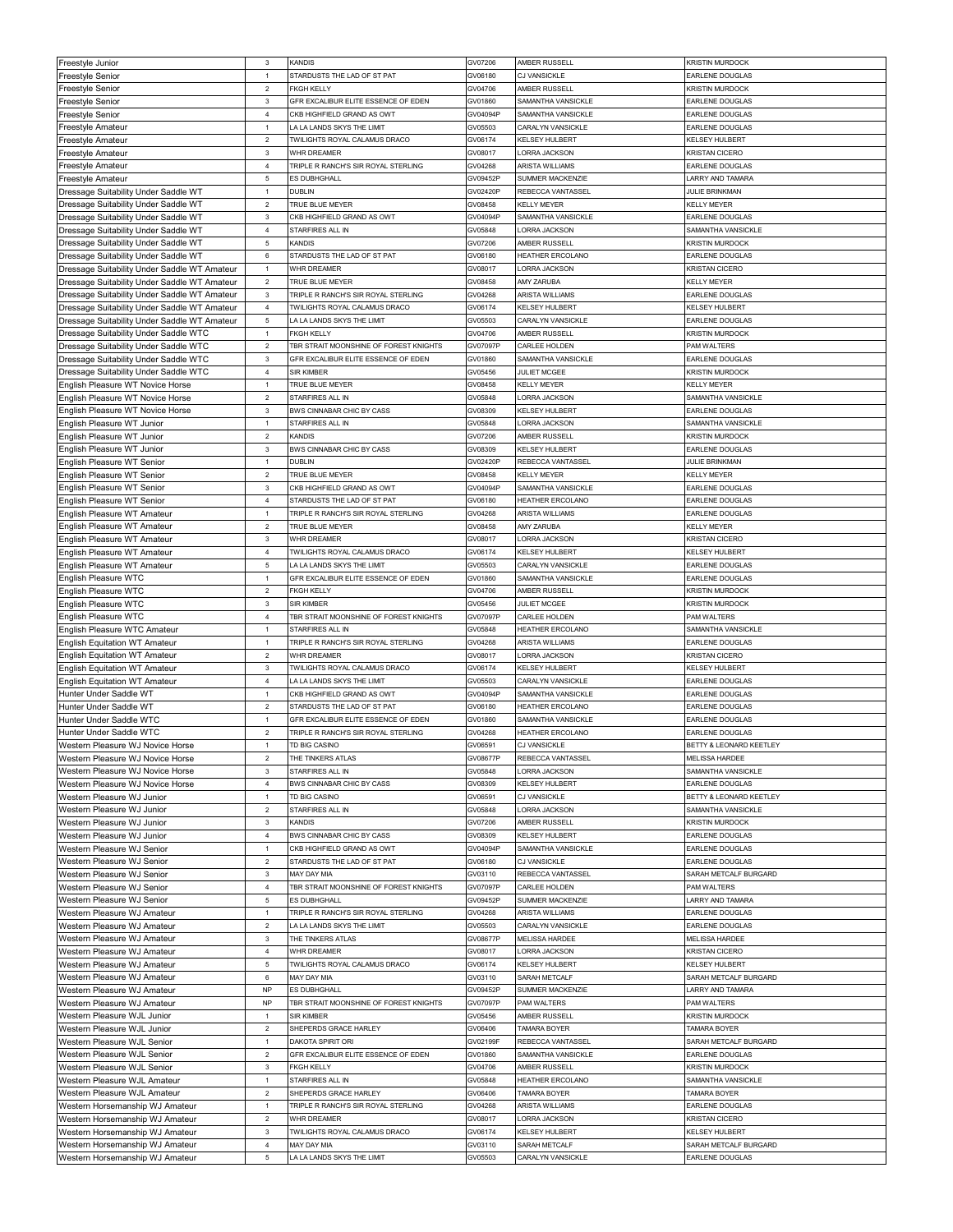| Freestyle Junior                             | $\mathbf{3}$              | KANDIS                                 | GV07206  | AMBER RUSSELL         | <b>KRISTIN MURDOCK</b>  |
|----------------------------------------------|---------------------------|----------------------------------------|----------|-----------------------|-------------------------|
| Freestyle Senior                             | $\mathbf{1}$              | STARDUSTS THE LAD OF ST PAT            | GV06180  | <b>CJ VANSICKLE</b>   | <b>EARLENE DOUGLAS</b>  |
|                                              |                           |                                        |          |                       |                         |
| Freestyle Senior                             | $\overline{2}$            | <b>FKGH KELLY</b>                      | GV04706  | AMBER RUSSELL         | <b>KRISTIN MURDOCK</b>  |
| Freestyle Senior                             | 3                         | GFR EXCALIBUR ELITE ESSENCE OF EDEN    | GV01860  | SAMANTHA VANSICKLE    | EARLENE DOUGLAS         |
| <b>Freestyle Senior</b>                      | $\overline{4}$            | CKB HIGHFIFI D GRAND AS OWT            | GV04094F | SAMANTHA VANSICKLE    | EARLENE DOUGLAS         |
| Freestyle Amateur                            | $\mathbf{1}$              | LA LA LANDS SKYS THE LIMIT             | GV05503  | CARALYN VANSICKLE     | EARLENE DOUGLAS         |
| Freestyle Amateur                            | $\overline{2}$            | TWILIGHTS ROYAL CALAMUS DRACO          | GV06174  | KELSEY HULBERT        | <b>KELSEY HULBERT</b>   |
| Freestyle Amateur                            | $\ensuremath{\mathsf{3}}$ | WHR DREAMER                            | GV08017  | ORRA JACKSON          | <b>KRISTAN CICERO</b>   |
|                                              | $\overline{4}$            |                                        |          | ARISTA WILLIAMS       |                         |
| Freestyle Amateur                            |                           | TRIPLE R RANCH'S SIR ROYAL STERLING    | GV04268  |                       | EARLENE DOUGLAS         |
| <b>Freestyle Amateur</b>                     | $\,$ 5 $\,$               | ES DUBHGHALL                           | GV09452F | SUMMER MACKENZIE      | LARRY AND TAMARA        |
| Dressage Suitability Under Saddle WT         | $\mathbf{1}$              | DUBLIN                                 | GV02420F | REBECCA VANTASSEL     | JULIE BRINKMAN          |
| Dressage Suitability Under Saddle WT         | $\sqrt{2}$                | TRUE BLUE MEYER                        | GV08458  | KELLY MEYER           | KELLY MEYER             |
| Dressage Suitability Under Saddle WT         | $\mathbf 3$               | CKB HIGHFIELD GRAND AS OWT             | GV04094F | SAMANTHA VANSICKLE    | EARLENE DOUGLAS         |
| Dressage Suitability Under Saddle WT         | $\overline{4}$            | STARFIRES ALL IN                       |          | <b>LORRA JACKSON</b>  | SAMANTHA VANSICKLE      |
|                                              |                           |                                        | GV05848  |                       |                         |
| Dressage Suitability Under Saddle WT         | $\,$ 5 $\,$               | KANDIS                                 | GV07206  | AMBER RUSSELL         | KRISTIN MURDOCK         |
| Dressage Suitability Under Saddle WT         | 6                         | STARDUSTS THE LAD OF ST PAT            | GV06180  | HEATHER ERCOLANO      | EARLENE DOUGLAS         |
| Dressage Suitability Under Saddle WT Amateur | $\mathbf{1}$              | <b>WHR DREAMER</b>                     | GV08017  | ORRA JACKSON          | KRISTAN CICERO          |
| Dressage Suitability Under Saddle WT Amateur | $\overline{2}$            | TRUE BLUE MEYER                        | GV08458  | AMY ZARUBA            | <b>KELLY MEYER</b>      |
|                                              | $\mathbf{3}$              | TRIPLE R RANCH'S SIR ROYAL STERLING    | GV04268  | ARISTA WILLIAMS       | EARLENE DOUGLAS         |
| Dressage Suitability Under Saddle WT Amateur |                           |                                        |          |                       |                         |
| Dressage Suitability Under Saddle WT Amateur | $\overline{4}$            | TWILIGHTS ROYAL CALAMUS DRACO          | GV06174  | <b>KELSEY HULBERT</b> | KELSEY HULBERT          |
| Dressage Suitability Under Saddle WT Amateur | $\mathbf 5$               | LA LA LANDS SKYS THE LIMIT             | GV05503  | CARALYN VANSICKLE     | EARLENE DOUGLAS         |
| Dressage Suitability Under Saddle WTC        | $\mathbf{1}$              | <b>FKGH KELLY</b>                      | GV04706  | AMBER RUSSELL         | <b>KRISTIN MURDOCK</b>  |
| Dressage Suitability Under Saddle WTC        | $\overline{2}$            | TBR STRAIT MOONSHINE OF FOREST KNIGHTS | GV07097F | CARLEE HOLDEN         | PAM WALTERS             |
| Dressage Suitability Under Saddle WTC        | $\mathbf{3}$              | GFR EXCALIBUR ELITE ESSENCE OF EDEN    | GV01860  | SAMANTHA VANSICKLE    | EARLENE DOUGLAS         |
|                                              |                           |                                        |          |                       |                         |
| Dressage Suitability Under Saddle WTC        | $\overline{4}$            | <b>SIR KIMBER</b>                      | GV05456  | <b>JULIET MCGEE</b>   | <b>KRISTIN MURDOCK</b>  |
| English Pleasure WT Novice Horse             | $\mathbf{1}$              | TRUE BLUE MEYER                        | GV08458  | <b>KELLY MEYER</b>    | <b>KELLY MEYER</b>      |
| English Pleasure WT Novice Horse             | $\overline{2}$            | STARFIRES ALL IN                       | GV05848  | LORRA JACKSON         | SAMANTHA VANSICKLE      |
| English Pleasure WT Novice Horse             | $\mathbf{3}$              | BWS CINNABAR CHIC BY CASS              | GV08309  | <b>KELSEY HULBERT</b> | <b>EARLENE DOUGLAS</b>  |
| English Pleasure WT Junior                   | $\mathbf{1}$              | STARFIRES ALL IN                       | GV05848  | ORRA JACKSON          | SAMANTHA VANSICKLE      |
|                                              |                           |                                        |          |                       |                         |
| English Pleasure WT Junior                   | $\mathbf 2$               | KANDIS                                 | GV07206  | AMBER RUSSELL         | <b>KRISTIN MURDOCK</b>  |
| English Pleasure WT Junior                   | $\ensuremath{\mathsf{3}}$ | BWS CINNABAR CHIC BY CASS              | GV08309  | KELSEY HULBERT        | EARLENE DOUGLAS         |
| English Pleasure WT Senior                   | $\mathbf{1}$              | DUBLIN                                 | GV02420F | REBECCA VANTASSEL     | <b>JULIE BRINKMAN</b>   |
| English Pleasure WT Senior                   | $\sqrt{2}$                | TRUE BLUE MEYER                        | GV08458  | <b>KELLY MEYER</b>    | <b>KELLY MEYER</b>      |
| English Pleasure WT Senior                   | $\mathbf 3$               | CKB HIGHFIELD GRAND AS OWT             | GV04094F | SAMANTHA VANSICKLE    | EARLENE DOUGLAS         |
|                                              | $\overline{4}$            | STARDUSTS THE LAD OF ST PAT            |          |                       |                         |
| English Pleasure WT Senior                   |                           |                                        | GV06180  | HEATHER ERCOLANO      | EARLENE DOUGLAS         |
| English Pleasure WT Amateur                  | $\mathbf{1}$              | TRIPLE R RANCH'S SIR ROYAL STERLING    | GV04268  | ARISTA WILLIAMS       | <b>EARLENE DOUGLAS</b>  |
| English Pleasure WT Amateur                  | $\overline{2}$            | TRUE BLUE MEYER                        | GV08458  | <b>AMY ZARUBA</b>     | <b>KELLY MEYER</b>      |
| English Pleasure WT Amateur                  | $\ensuremath{\mathsf{3}}$ | WHR DREAMER                            | GV08017  | LORRA JACKSON         | <b>KRISTAN CICERO</b>   |
| English Pleasure WT Amateur                  | $\overline{4}$            | TWILIGHTS ROYAL CALAMUS DRACO          | GV06174  | <b>KELSEY HULBERT</b> | <b>KELSEY HULBERT</b>   |
|                                              | $\,$ 5 $\,$               | LA LA LANDS SKYS THE LIMIT             | GV05503  | CARALYN VANSICKLE     | <b>EARLENE DOUGLAS</b>  |
| English Pleasure WT Amateur                  |                           |                                        |          |                       |                         |
| English Pleasure WTC                         | $\mathbf{1}$              | GFR EXCALIBUR ELITE ESSENCE OF EDEN    | GV01860  | SAMANTHA VANSICKLE    | EARLENE DOUGLAS         |
| English Pleasure WTC                         | $\sqrt{2}$                | <b>FKGH KELLY</b>                      | GV04706  | AMBER RUSSELI         | KRISTIN MURDOCK         |
| English Pleasure WTC                         | 3                         | SIR KIMBER                             | GV05456  | JULIET MCGEE          | <b>KRISTIN MURDOCK</b>  |
|                                              |                           |                                        |          |                       |                         |
|                                              |                           |                                        |          | CARLEE HOLDEN         |                         |
| English Pleasure WTC                         | 4                         | TBR STRAIT MOONSHINE OF FOREST KNIGHTS | GV07097F |                       | PAM WALTERS             |
| English Pleasure WTC Amateur                 | $\mathbf{1}$              | STARFIRES ALL IN                       | GV05848  | HEATHER ERCOLANO      | SAMANTHA VANSICKLE      |
| <b>English Equitation WT Amateur</b>         | $\mathbf{1}$              | TRIPLE R RANCH'S SIR ROYAL STERLING    | GV04268  | ARISTA WILLIAMS       | EARLENE DOUGLAS         |
| <b>English Equitation WT Amateur</b>         | $\sqrt{2}$                | WHR DREAMER                            | GV08017  | LORRA JACKSON         | <b>KRISTAN CICERO</b>   |
| <b>English Equitation WT Amateur</b>         | $\mathbf 3$               | TWILIGHTS ROYAL CALAMUS DRACO          | GV06174  | <b>KELSEY HULBERT</b> | <b>KELSEY HULBERT</b>   |
|                                              | $\overline{4}$            |                                        | GV05503  | CARALYN VANSICKLE     | EARLENE DOUGLAS         |
| <b>English Equitation WT Amateur</b>         |                           | LA LA LANDS SKYS THE LIMIT             |          |                       |                         |
| Hunter Under Saddle WT                       | $\mathbf{1}$              | CKB HIGHFIELD GRAND AS OWT             | GV04094F | SAMANTHA VANSICKLE    | EARLENE DOUGLAS         |
| Hunter Under Saddle WT                       | $\mathbf 2$               | STARDUSTS THE LAD OF ST PAT            | GV06180  | HEATHER ERCOLANO      | EARLENE DOUGLAS         |
| Hunter Under Saddle WTC                      | $\mathbf{1}$              | GFR EXCALIBUR ELITE ESSENCE OF EDEN    | GV01860  | SAMANTHA VANSICKLE    | EARLENE DOUGLAS         |
| Hunter Under Saddle WTC                      | $\overline{2}$            | TRIPLE R RANCH'S SIR ROYAL STERLING    | GV04268  | HEATHER ERCOLANO      | EARLENE DOUGLAS         |
| Western Pleasure WJ Novice Horse             | $\mathbf{1}$              | TD BIG CASINO                          | GV06591  | CJ VANSICKLE          | BETTY & LEONARD KEETLEY |
|                                              |                           |                                        |          |                       |                         |
| Western Pleasure WJ Novice Horse             | $\overline{2}$            | THE TINKERS ATLAS                      | GV08677P | REBECCA VANTASSEL     | <b>MELISSA HARDEE</b>   |
| Western Pleasure WJ Novice Horse             | $\mathbf 3$               | STARFIRES ALL IN                       | GV05848  | LORRA JACKSON         | SAMANTHA VANSICKLE      |
| Western Pleasure WJ Novice Horse             | $\overline{4}$            | BWS CINNABAR CHIC BY CASS              | GV08309  | KELSEY HULBERT        | EARLENE DOUGLAS         |
| Western Pleasure WJ Junior                   | $\mathbf{1}$              | TD BIG CASINO                          | GV06591  | CJ VANSICKLE          | BETTY & LEONARD KEETLEY |
| Western Pleasure WJ Junior                   | $\sqrt{2}$                | STARFIRES ALL IN                       | GV05848  | <b>LORRA JACKSON</b>  | SAMANTHA VANSICKLE      |
| Western Pleasure WJ Junior                   | $\mathbf 3$               | KANDIS                                 | GV07206  | AMBER RUSSELL         | <b>KRISTIN MURDOCK</b>  |
|                                              |                           |                                        |          |                       |                         |
| Western Pleasure WJ Junior                   | $\overline{4}$            | BWS CINNABAR CHIC BY CASS              | GV08309  | KELSEY HULBERT        | EARLENE DOUGLAS         |
| Western Pleasure WJ Senior                   | $\mathbf{1}$              | CKB HIGHFIELD GRAND AS OWT             | GV04094P | SAMANTHA VANSICKLE    | EARLENE DOUGLAS         |
| Western Pleasure WJ Senior                   | $\sqrt{2}$                | STARDUSTS THE LAD OF ST PAT            | GV06180  | CJ VANSICKLE          | <b>EARLENE DOUGLAS</b>  |
| Western Pleasure WJ Senior                   | $\mathbf{3}$              | MAY DAY MIA                            | GV03110  | REBECCA VANTASSEL     | SARAH METCALF BURGARD   |
| Western Pleasure WJ Senior                   | 4                         | TBR STRAIT MOONSHINE OF FOREST KNIGHTS | GV07097P | CARLEE HOLDEN         | PAM WALTERS             |
| Western Pleasure WJ Senior                   | 5                         | ES DUBHGHALL                           | GV09452P | SUMMER MACKENZIE      | LARRY AND TAMARA        |
|                                              |                           |                                        |          |                       |                         |
| Western Pleasure WJ Amateur                  | $\mathbf{1}$              | TRIPLE R RANCH'S SIR ROYAL STERLING    | GV04268  | ARISTA WILLIAMS       | EARLENE DOUGLAS         |
| Western Pleasure WJ Amateur                  | $\overline{2}$            | LA LA LANDS SKYS THE LIMIT             | GV05503  | CARALYN VANSICKLE     | <b>EARLENE DOUGLAS</b>  |
| Western Pleasure WJ Amateur                  | $\mathbf{3}$              | THE TINKERS ATLAS                      | GV08677F | <b>MELISSA HARDEE</b> | <b>MELISSA HARDEE</b>   |
| Western Pleasure WJ Amateur                  | $\overline{4}$            | WHR DREAMER                            | GV08017  | LORRA JACKSON         | <b>KRISTAN CICERO</b>   |
| Western Pleasure WJ Amateur                  | 5                         | TWILIGHTS ROYAL CALAMUS DRACO          | GV06174  | <b>KELSEY HULBERT</b> | <b>KELSEY HULBERT</b>   |
|                                              |                           |                                        |          |                       |                         |
| Western Pleasure WJ Amateur                  | $\,6\,$                   | MAY DAY MIA                            | GV03110  | SARAH METCALF         | SARAH METCALF BURGARD   |
| Western Pleasure WJ Amateur                  | <b>NP</b>                 | ES DUBHGHALL                           | GV09452F | SUMMER MACKENZIE      | LARRY AND TAMARA        |
| Western Pleasure WJ Amateur                  | <b>NP</b>                 | TBR STRAIT MOONSHINE OF FOREST KNIGHTS | GV07097P | PAM WALTERS           | PAM WALTERS             |
| Western Pleasure WJL Junior                  | $\overline{1}$            | SIR KIMBER                             | GV05456  | AMBER RUSSELL         | KRISTIN MURDOCK         |
| Western Pleasure WJL Junior                  | $\mathbf 2$               | SHEPERDS GRACE HARLEY                  | GV06406  | <b>TAMARA BOYER</b>   | <b>TAMARA BOYER</b>     |
|                                              |                           |                                        |          |                       |                         |
| Western Pleasure WJL Senior                  | $\mathbf{1}$              | DAKOTA SPIRIT ORI                      | GV02199F | REBECCA VANTASSEL     | SARAH METCALF BURGARD   |
| Western Pleasure WJL Senior                  | $\overline{2}$            | GFR EXCALIBUR ELITE ESSENCE OF EDEN    | GV01860  | SAMANTHA VANSICKLE    | EARLENE DOUGLAS         |
| Western Pleasure WJL Senior                  | $\mathbf{3}$              | <b>FKGH KELLY</b>                      | GV04706  | AMBER RUSSELL         | <b>KRISTIN MURDOCK</b>  |
| Western Pleasure WJL Amateur                 | $\mathbf 1$               | STARFIRES ALL IN                       | GV05848  | HEATHER ERCOLANO      | SAMANTHA VANSICKLE      |
| Western Pleasure WJL Amateur                 | $\overline{2}$            | SHEPERDS GRACE HARLEY                  | GV06406  | <b>TAMARA BOYER</b>   | <b>TAMARA BOYER</b>     |
|                                              |                           |                                        |          |                       |                         |
| Western Horsemanship WJ Amateur              | $\mathbf{1}$              | TRIPLE R RANCH'S SIR ROYAL STERLING    | GV04268  | ARISTA WILLIAMS       | EARLENE DOUGLAS         |
| Western Horsemanship WJ Amateur              | $\overline{2}$            | WHR DREAMER                            | GV08017  | <b>LORRA JACKSON</b>  | <b>KRISTAN CICERO</b>   |
| Western Horsemanship WJ Amateur              | $\ensuremath{\mathsf{3}}$ | TWILIGHTS ROYAL CALAMUS DRACO          | GV06174  | KELSEY HULBERT        | KELSEY HULBERT          |
| Western Horsemanship WJ Amateur              | $\overline{4}$            | MAY DAY MIA                            | GV03110  | SARAH METCALF         | SARAH METCALF BURGARD   |